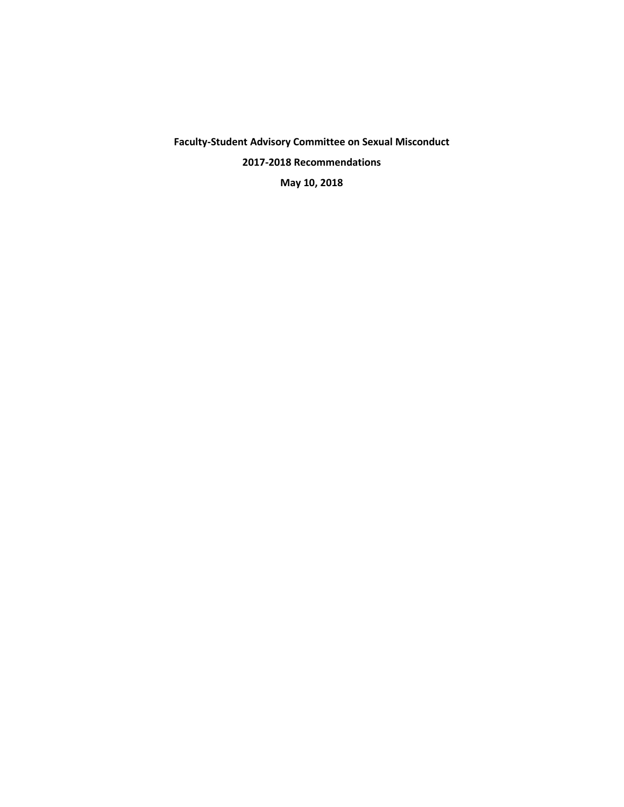**Faculty-Student Advisory Committee on Sexual Misconduct 2017-2018 Recommendations May 10, 2018**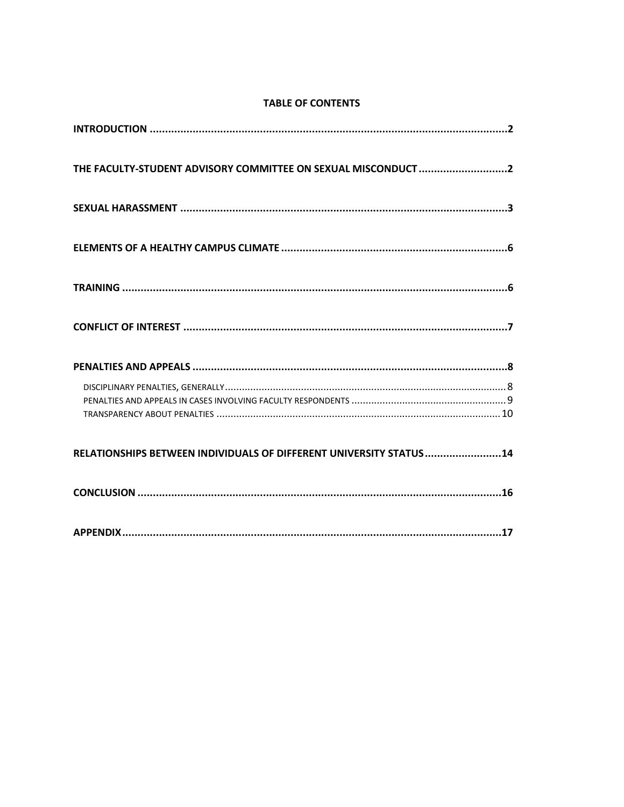|  | <b>TABLE OF CONTENTS</b> |
|--|--------------------------|
|  |                          |

| THE FACULTY-STUDENT ADVISORY COMMITTEE ON SEXUAL MISCONDUCT 2      |
|--------------------------------------------------------------------|
|                                                                    |
|                                                                    |
|                                                                    |
|                                                                    |
|                                                                    |
|                                                                    |
| RELATIONSHIPS BETWEEN INDIVIDUALS OF DIFFERENT UNIVERSITY STATUS14 |
|                                                                    |
|                                                                    |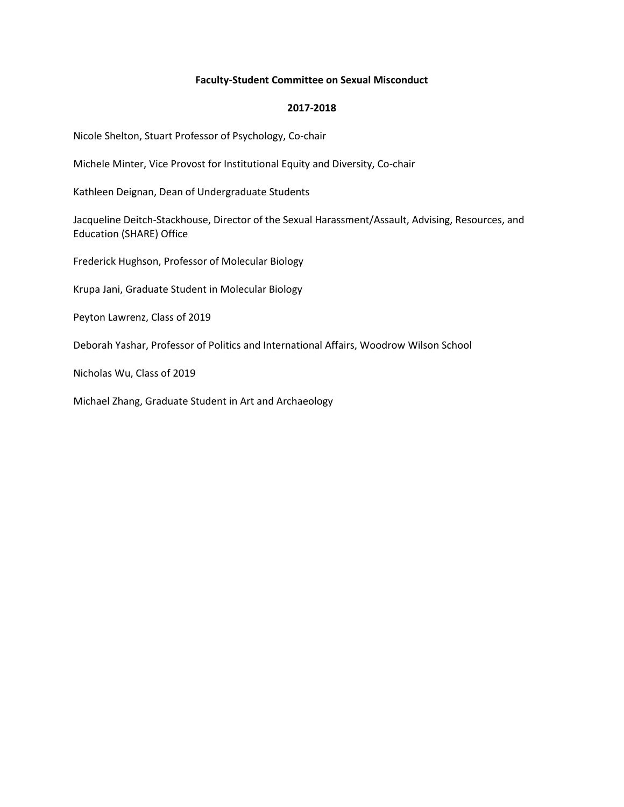# **Faculty-Student Committee on Sexual Misconduct**

# **2017-2018**

Nicole Shelton, Stuart Professor of Psychology, Co-chair

Michele Minter, Vice Provost for Institutional Equity and Diversity, Co-chair

Kathleen Deignan, Dean of Undergraduate Students

Jacqueline Deitch-Stackhouse, Director of the Sexual Harassment/Assault, Advising, Resources, and Education (SHARE) Office

Frederick Hughson, Professor of Molecular Biology

Krupa Jani, Graduate Student in Molecular Biology

Peyton Lawrenz, Class of 2019

Deborah Yashar, Professor of Politics and International Affairs, Woodrow Wilson School

Nicholas Wu, Class of 2019

Michael Zhang, Graduate Student in Art and Archaeology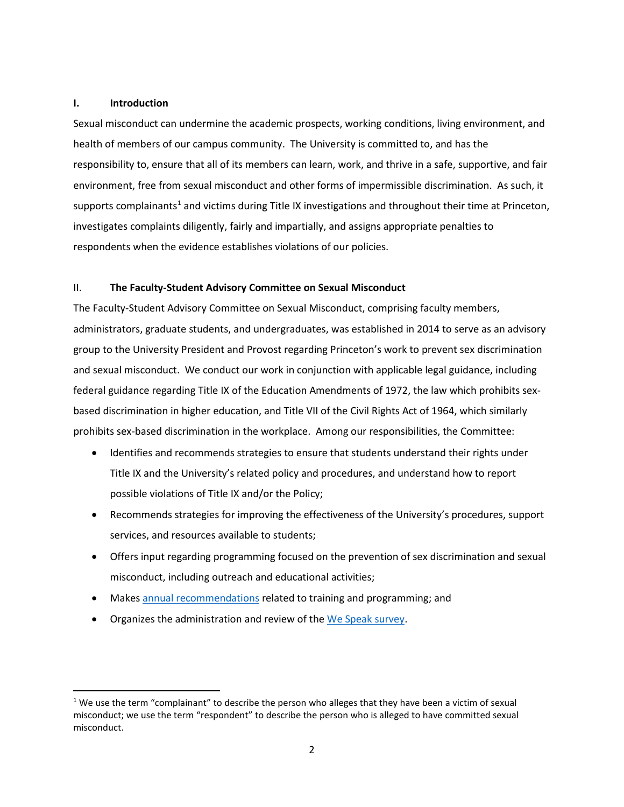# **I. Introduction**

Sexual misconduct can undermine the academic prospects, working conditions, living environment, and health of members of our campus community. The University is committed to, and has the responsibility to, ensure that all of its members can learn, work, and thrive in a safe, supportive, and fair environment, free from sexual misconduct and other forms of impermissible discrimination. As such, it supports complainants<sup>[1](#page-3-0)</sup> and victims during Title IX investigations and throughout their time at Princeton, investigates complaints diligently, fairly and impartially, and assigns appropriate penalties to respondents when the evidence establishes violations of our policies.

# II. **The Faculty-Student Advisory Committee on Sexual Misconduct**

The Faculty-Student Advisory Committee on Sexual Misconduct, comprising faculty members, administrators, graduate students, and undergraduates, was established in 2014 to serve as an advisory group to the University President and Provost regarding Princeton's work to prevent sex discrimination and sexual misconduct. We conduct our work in conjunction with applicable legal guidance, including federal guidance regarding Title IX of the Education Amendments of 1972, the law which prohibits sexbased discrimination in higher education, and Title VII of the Civil Rights Act of 1964, which similarly prohibits sex-based discrimination in the workplace. Among our responsibilities, the Committee:

- Identifies and recommends strategies to ensure that students understand their rights under Title IX and the University's related policy and procedures, and understand how to report possible violations of Title IX and/or the Policy;
- Recommends strategies for improving the effectiveness of the University's procedures, support services, and resources available to students;
- Offers input regarding programming focused on the prevention of sex discrimination and sexual misconduct, including outreach and educational activities;
- Makes [annual recommendations](https://sexualmisconduct.princeton.edu/reports) related to training and programming; and
- Organizes the administration and review of the [We Speak survey.](https://sexualmisconduct.princeton.edu/sites/sexualmisconduct/files/wespeak2017.pdf)

<span id="page-3-0"></span> $1$  We use the term "complainant" to describe the person who alleges that they have been a victim of sexual misconduct; we use the term "respondent" to describe the person who is alleged to have committed sexual misconduct.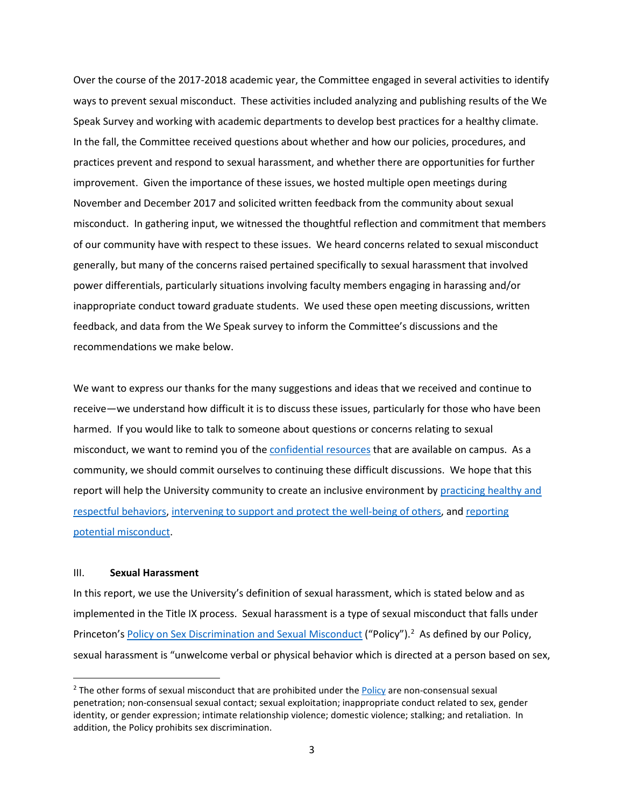Over the course of the 2017-2018 academic year, the Committee engaged in several activities to identify ways to prevent sexual misconduct. These activities included analyzing and publishing results of the We Speak Survey and working with academic departments to develop best practices for a healthy climate. In the fall, the Committee received questions about whether and how our policies, procedures, and practices prevent and respond to sexual harassment, and whether there are opportunities for further improvement. Given the importance of these issues, we hosted multiple open meetings during November and December 2017 and solicited written feedback from the community about sexual misconduct. In gathering input, we witnessed the thoughtful reflection and commitment that members of our community have with respect to these issues. We heard concerns related to sexual misconduct generally, but many of the concerns raised pertained specifically to sexual harassment that involved power differentials, particularly situations involving faculty members engaging in harassing and/or inappropriate conduct toward graduate students. We used these open meeting discussions, written feedback, and data from the We Speak survey to inform the Committee's discussions and the recommendations we make below.

We want to express our thanks for the many suggestions and ideas that we received and continue to receive—we understand how difficult it is to discuss these issues, particularly for those who have been harmed. If you would like to talk to someone about questions or concerns relating to sexual misconduct, we want to remind you of th[e confidential resources](https://sexualmisconduct.princeton.edu/resources-reporting/resources) that are available on campus. As a community, we should commit ourselves to continuing these difficult discussions. We hope that this report will help the University community to create an inclusive environment by practicing healthy and [respectful behaviors,](https://umatter.princeton.edu/respect) [intervening to support and protect the well-being of others,](https://umatter.princeton.edu/action-matters/care-others) and [reporting](https://sexualmisconduct.princeton.edu/resources-reporting/fac-staff-oblig)  [potential misconduct.](https://sexualmisconduct.princeton.edu/resources-reporting/fac-staff-oblig)

#### III. **Sexual Harassment**

In this report, we use the University's definition of sexual harassment, which is stated below and as implemented in the Title IX process. Sexual harassment is a type of sexual misconduct that falls under Princeton'[s Policy on Sex Discrimination and Sexual Misconduct](http://www.princeton.edu/pub/rrr/part1/index.xml#comp13) ("Policy").<sup>[2](#page-4-0)</sup> As defined by our Policy, sexual harassment is "unwelcome verbal or physical behavior which is directed at a person based on sex,

<span id="page-4-0"></span><sup>&</sup>lt;sup>2</sup> The other forms of sexual misconduct that are prohibited under the [Policy](http://www.princeton.edu/pub/rrr/part1/index.xml#comp133) are non-consensual sexual penetration; non-consensual sexual contact; sexual exploitation; inappropriate conduct related to sex, gender identity, or gender expression; intimate relationship violence; domestic violence; stalking; and retaliation. In addition, the Policy prohibits sex discrimination.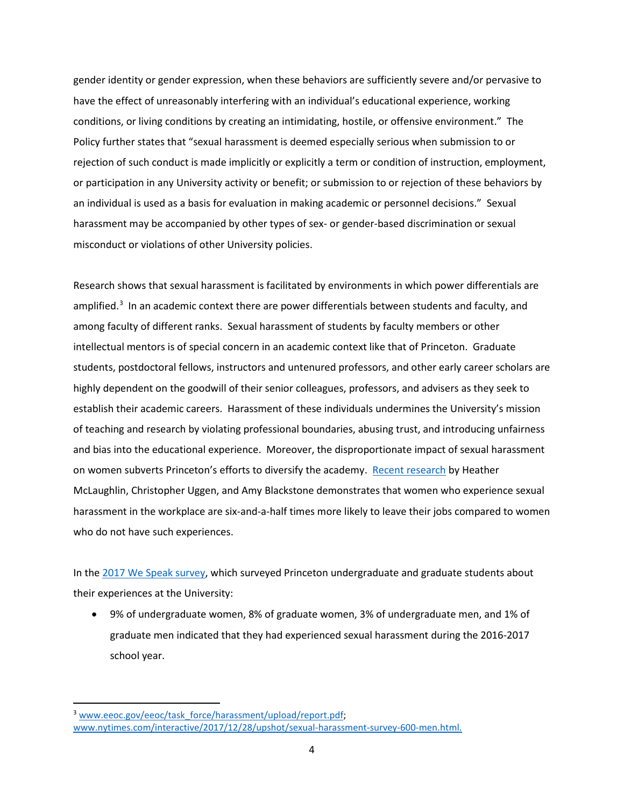gender identity or gender expression, when these behaviors are sufficiently severe and/or pervasive to have the effect of unreasonably interfering with an individual's educational experience, working conditions, or living conditions by creating an intimidating, hostile, or offensive environment." The Policy further states that "sexual harassment is deemed especially serious when submission to or rejection of such conduct is made implicitly or explicitly a term or condition of instruction, employment, or participation in any University activity or benefit; or submission to or rejection of these behaviors by an individual is used as a basis for evaluation in making academic or personnel decisions." Sexual harassment may be accompanied by other types of sex- or gender-based discrimination or sexual misconduct or violations of other University policies.

Research shows that sexual harassment is facilitated by environments in which power differentials are amplified.<sup>[3](#page-5-0)</sup> In an academic context there are power differentials between students and faculty, and among faculty of different ranks. Sexual harassment of students by faculty members or other intellectual mentors is of special concern in an academic context like that of Princeton. Graduate students, postdoctoral fellows, instructors and untenured professors, and other early career scholars are highly dependent on the goodwill of their senior colleagues, professors, and advisers as they seek to establish their academic careers. Harassment of these individuals undermines the University's mission of teaching and research by violating professional boundaries, abusing trust, and introducing unfairness and bias into the educational experience. Moreover, the disproportionate impact of sexual harassment on women subverts Princeton's efforts to diversify the academy. [Recent research](http://journals.sagepub.com/doi/pdf/10.1177/0891243217704631) by Heather McLaughlin, Christopher Uggen, and Amy Blackstone demonstrates that women who experience sexual harassment in the workplace are six-and-a-half times more likely to leave their jobs compared to women who do not have such experiences.

In th[e 2017 We Speak survey,](https://sexualmisconduct.princeton.edu/sites/sexualmisconduct/files/wespeak2017.pdf) which surveyed Princeton undergraduate and graduate students about their experiences at the University:

• 9% of undergraduate women, 8% of graduate women, 3% of undergraduate men, and 1% of graduate men indicated that they had experienced sexual harassment during the 2016-2017 school year.

<span id="page-5-0"></span><sup>&</sup>lt;sup>3</sup> [www.eeoc.gov/eeoc/task\\_force/harassment/upload/report.pdf;](https://www.eeoc.gov/eeoc/task_force/harassment/upload/report.pdf) [www.nytimes.com/interactive/2017/12/28/upshot/sexual-harassment-survey-600-men.html.](https://www.nytimes.com/interactive/2017/12/28/upshot/sexual-harassment-survey-600-men.html)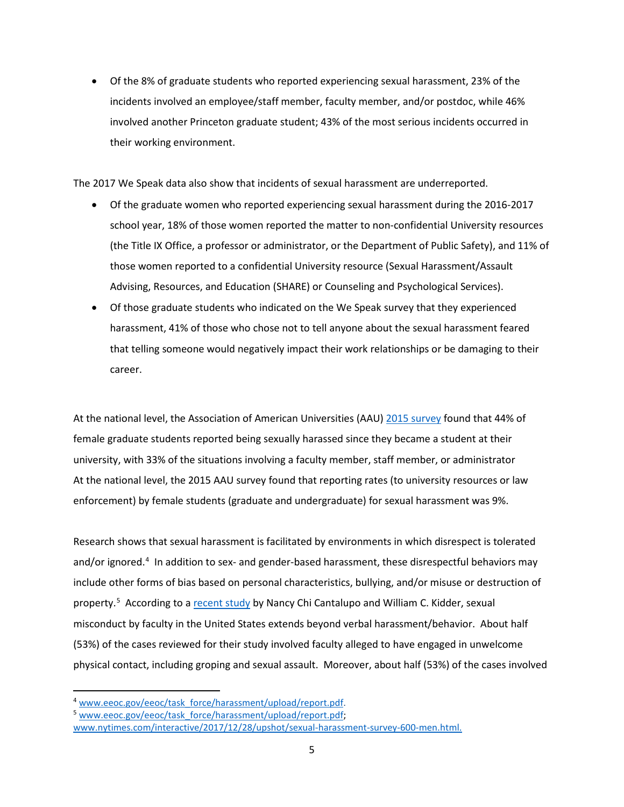• Of the 8% of graduate students who reported experiencing sexual harassment, 23% of the incidents involved an employee/staff member, faculty member, and/or postdoc, while 46% involved another Princeton graduate student; 43% of the most serious incidents occurred in their working environment.

The 2017 We Speak data also show that incidents of sexual harassment are underreported.

- Of the graduate women who reported experiencing sexual harassment during the 2016-2017 school year, 18% of those women reported the matter to non-confidential University resources (the Title IX Office, a professor or administrator, or the Department of Public Safety), and 11% of those women reported to a confidential University resource (Sexual Harassment/Assault Advising, Resources, and Education (SHARE) or Counseling and Psychological Services).
- Of those graduate students who indicated on the We Speak survey that they experienced harassment, 41% of those who chose not to tell anyone about the sexual harassment feared that telling someone would negatively impact their work relationships or be damaging to their career.

At the national level, the Association of American Universities (AAU) [2015 survey](https://www.aau.edu/sites/default/files/AAU-Files/Key-Issues/Campus-Safety/AAU-Campus-Climate-Survey-FINAL-10-20-17.pdf) found that 44% of female graduate students reported being sexually harassed since they became a student at their university, with 33% of the situations involving a faculty member, staff member, or administrator At the national level, the 2015 AAU survey found that reporting rates (to university resources or law enforcement) by female students (graduate and undergraduate) for sexual harassment was 9%.

Research shows that sexual harassment is facilitated by environments in which disrespect is tolerated and/or ignored.<sup>[4](#page-6-0)</sup> In addition to sex- and gender-based harassment, these disrespectful behaviors may include other forms of bias based on personal characteristics, bullying, and/or misuse or destruction of property.<sup>5</sup> According to a [recent study](https://papers.ssrn.com/sol3/papers.cfm?abstract_id=2971447) by Nancy Chi Cantalupo and William C. Kidder, sexual misconduct by faculty in the United States extends beyond verbal harassment/behavior. About half (53%) of the cases reviewed for their study involved faculty alleged to have engaged in unwelcome physical contact, including groping and sexual assault. Moreover, about half (53%) of the cases involved

<span id="page-6-0"></span> <sup>4</sup> [www.eeoc.gov/eeoc/task\\_force/harassment/upload/report.pdf.](http://www.eeoc.gov/eeoc/task_force/harassment/upload/report.pdf)

<span id="page-6-1"></span><sup>5</sup> [www.eeoc.gov/eeoc/task\\_force/harassment/upload/report.pdf;](https://www.eeoc.gov/eeoc/task_force/harassment/upload/report.pdf)

[www.nytimes.com/interactive/2017/12/28/upshot/sexual-harassment-survey-600-men.html.](https://www.nytimes.com/interactive/2017/12/28/upshot/sexual-harassment-survey-600-men.html)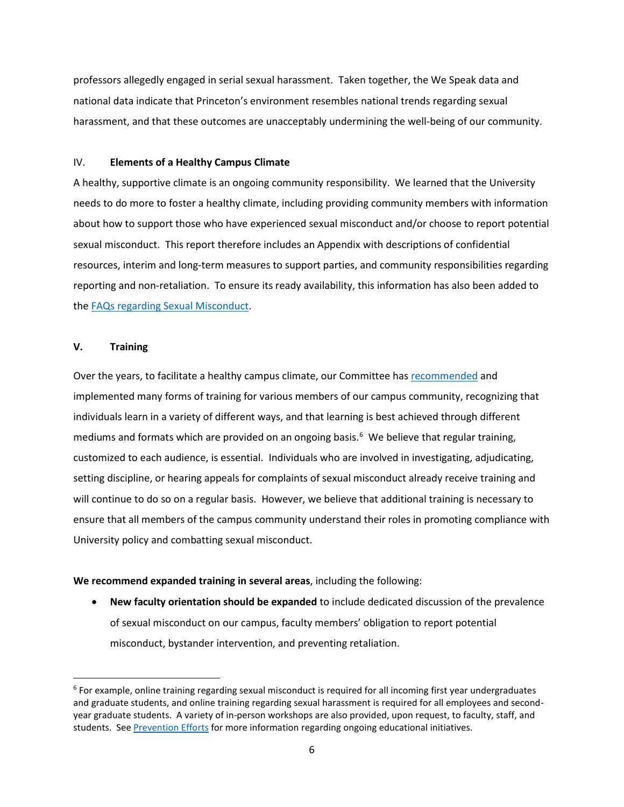professors allegedly engaged in serial sexual harassment. Taken together, the We Speak data and national data indicate that Princeton's environment resembles national trends regarding sexual harassment, and that these outcomes are unacceptably undermining the well-being of our community.

# IV. **Elements of a Healthy Campus Climate**

A healthy, supportive climate is an ongoing community responsibility. We learned that the University needs to do more to foster a healthy climate, including providing community members with information about how to support those who have experienced sexual misconduct and/or choose to report potential sexual misconduct. This report therefore includes an Appendix with descriptions of confidential resources, interim and long-term measures to support parties, and community responsibilities regarding reporting and non-retaliation. To ensure its ready availability, this information has also been added to the [FAQs regarding Sexual Misconduct.](https://sexualmisconduct.princeton.edu/faqs-students)

### **V. Training**

Over the years, to facilitate a healthy campus climate, our Committee has [recommended](https://sexualmisconduct.princeton.edu/reports) and implemented many forms of training for various members of our campus community, recognizing that individuals learn in a variety of different ways, and that learning is best achieved through different mediums and formats which are provided on an ongoing basis. $6$  We believe that regular training, customized to each audience, is essential. Individuals who are involved in investigating, adjudicating, setting discipline, or hearing appeals for complaints of sexual misconduct already receive training and will continue to do so on a regular basis. However, we believe that additional training is necessary to ensure that all members of the campus community understand their roles in promoting compliance with University policy and combatting sexual misconduct.

#### **We recommend expanded training in several areas**, including the following:

• **New faculty orientation should be expanded** to include dedicated discussion of the prevalence of sexual misconduct on our campus, faculty members' obligation to report potential misconduct, bystander intervention, and preventing retaliation.

<span id="page-7-0"></span> $6$  For example, online training regarding sexual misconduct is required for all incoming first year undergraduates and graduate students, and online training regarding sexual harassment is required for all employees and secondyear graduate students. A variety of in-person workshops are also provided, upon request, to faculty, staff, and students. See [Prevention Efforts](https://sexualmisconduct.princeton.edu/prevention-efforts) for more information regarding ongoing educational initiatives.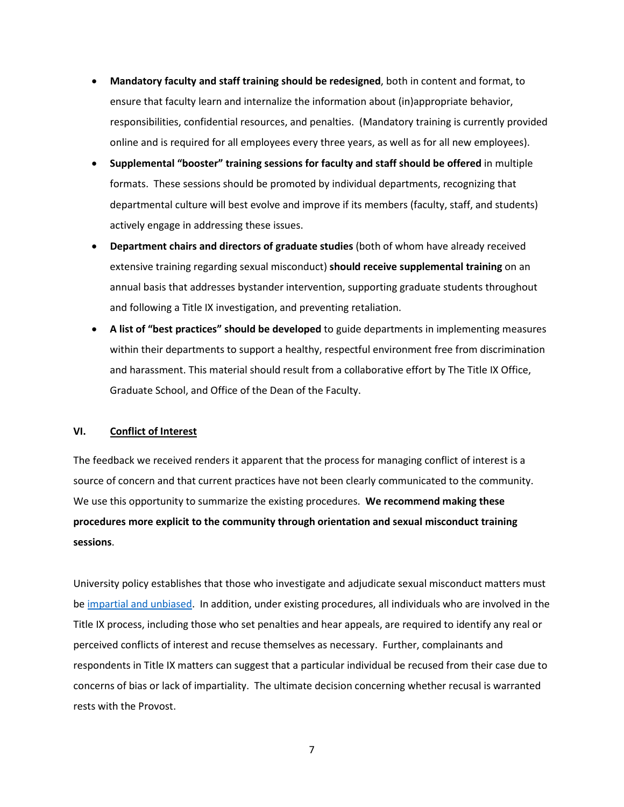- **Mandatory faculty and staff training should be redesigned**, both in content and format, to ensure that faculty learn and internalize the information about (in)appropriate behavior, responsibilities, confidential resources, and penalties. (Mandatory training is currently provided online and is required for all employees every three years, as well as for all new employees).
- **Supplemental "booster" training sessions for faculty and staff should be offered** in multiple formats. These sessions should be promoted by individual departments, recognizing that departmental culture will best evolve and improve if its members (faculty, staff, and students) actively engage in addressing these issues.
- **Department chairs and directors of graduate studies** (both of whom have already received extensive training regarding sexual misconduct) **should receive supplemental training** on an annual basis that addresses bystander intervention, supporting graduate students throughout and following a Title IX investigation, and preventing retaliation.
- **A list of "best practices" should be developed** to guide departments in implementing measures within their departments to support a healthy, respectful environment free from discrimination and harassment. This material should result from a collaborative effort by The Title IX Office, Graduate School, and Office of the Dean of the Faculty.

## **VI. Conflict of Interest**

The feedback we received renders it apparent that the process for managing conflict of interest is a source of concern and that current practices have not been clearly communicated to the community. We use this opportunity to summarize the existing procedures. **We recommend making these procedures more explicit to the community through orientation and sexual misconduct training sessions**.

University policy establishes that those who investigate and adjudicate sexual misconduct matters must b[e impartial and unbiased.](http://www.princeton.edu/pub/rrr/part1/index.xml#comp1313) In addition, under existing procedures, all individuals who are involved in the Title IX process, including those who set penalties and hear appeals, are required to identify any real or perceived conflicts of interest and recuse themselves as necessary. Further, complainants and respondents in Title IX matters can suggest that a particular individual be recused from their case due to concerns of bias or lack of impartiality. The ultimate decision concerning whether recusal is warranted rests with the Provost.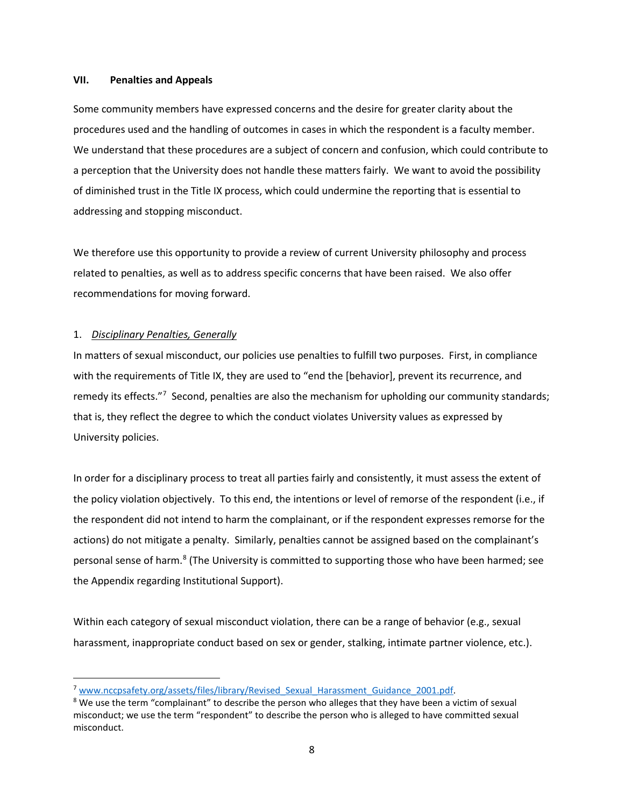### **VII. Penalties and Appeals**

Some community members have expressed concerns and the desire for greater clarity about the procedures used and the handling of outcomes in cases in which the respondent is a faculty member. We understand that these procedures are a subject of concern and confusion, which could contribute to a perception that the University does not handle these matters fairly. We want to avoid the possibility of diminished trust in the Title IX process, which could undermine the reporting that is essential to addressing and stopping misconduct.

We therefore use this opportunity to provide a review of current University philosophy and process related to penalties, as well as to address specific concerns that have been raised. We also offer recommendations for moving forward.

## 1. *Disciplinary Penalties, Generally*

In matters of sexual misconduct, our policies use penalties to fulfill two purposes. First, in compliance with the requirements of Title IX, they are used to "end the [behavior], prevent its recurrence, and remedy its effects."<sup>[7](#page-9-0)</sup> Second, penalties are also the mechanism for upholding our community standards; that is, they reflect the degree to which the conduct violates University values as expressed by University policies.

In order for a disciplinary process to treat all parties fairly and consistently, it must assess the extent of the policy violation objectively. To this end, the intentions or level of remorse of the respondent (i.e., if the respondent did not intend to harm the complainant, or if the respondent expresses remorse for the actions) do not mitigate a penalty. Similarly, penalties cannot be assigned based on the complainant's personal sense of harm.<sup>[8](#page-9-1)</sup> (The University is committed to supporting those who have been harmed; see the Appendix regarding Institutional Support).

Within each category of sexual misconduct violation, there can be a range of behavior (e.g., sexual harassment, inappropriate conduct based on sex or gender, stalking, intimate partner violence, etc.).

<span id="page-9-0"></span> <sup>7</sup> [www.nccpsafety.org/assets/files/library/Revised\\_Sexual\\_Harassment\\_Guidance\\_2001.pdf.](http://www.nccpsafety.org/assets/files/library/Revised_Sexual_Harassment_Guidance_2001.pdf)

<span id="page-9-1"></span><sup>&</sup>lt;sup>8</sup> We use the term "complainant" to describe the person who alleges that they have been a victim of sexual misconduct; we use the term "respondent" to describe the person who is alleged to have committed sexual misconduct.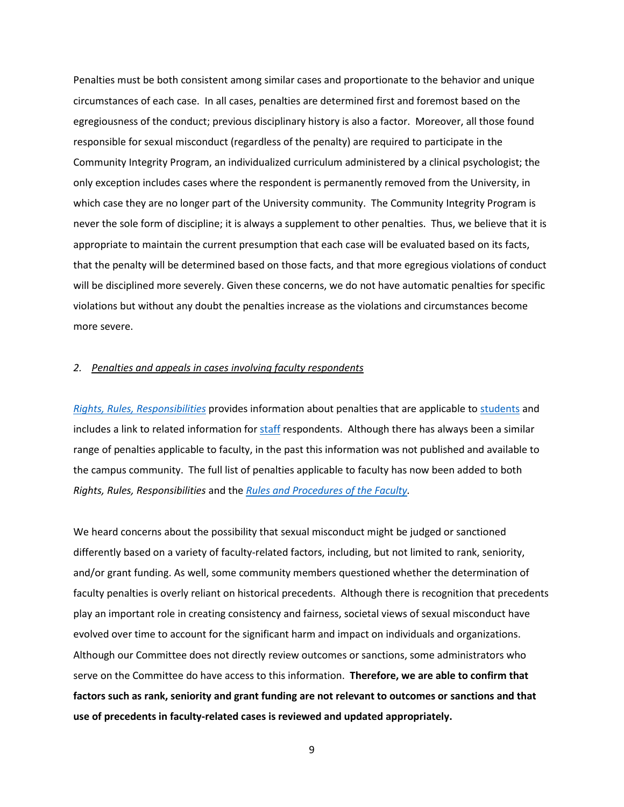Penalties must be both consistent among similar cases and proportionate to the behavior and unique circumstances of each case. In all cases, penalties are determined first and foremost based on the egregiousness of the conduct; previous disciplinary history is also a factor. Moreover, all those found responsible for sexual misconduct (regardless of the penalty) are required to participate in the Community Integrity Program, an individualized curriculum administered by a clinical psychologist; the only exception includes cases where the respondent is permanently removed from the University, in which case they are no longer part of the University community. The Community Integrity Program is never the sole form of discipline; it is always a supplement to other penalties. Thus, we believe that it is appropriate to maintain the current presumption that each case will be evaluated based on its facts, that the penalty will be determined based on those facts, and that more egregious violations of conduct will be disciplined more severely. Given these concerns, we do not have automatic penalties for specific violations but without any doubt the penalties increase as the violations and circumstances become more severe.

#### *2. Penalties and appeals in cases involving faculty respondents*

*[Rights, Rules, Responsibilities](http://www.princeton.edu/pub/rrr/index.xml)* provides information about penalties that are applicable to [students](http://www.princeton.edu/pub/rrr/part1/index.xml#comp1316) and includes a link to related information for [staff](https://www.princeton.edu/hr/policies/conditions/5.1/5.1.4/) respondents. Although there has always been a similar range of penalties applicable to faculty, in the past this information was not published and available to the campus community. The full list of penalties applicable to faculty has now been added to both *Rights, Rules, Responsibilities* and the *[Rules and Procedures of the Faculty.](https://dof.princeton.edu/rules-and-procedures-faculty-princeton-university-and-other-provisions-concern-faculty/chapter-iv-18)*

We heard concerns about the possibility that sexual misconduct might be judged or sanctioned differently based on a variety of faculty-related factors, including, but not limited to rank, seniority, and/or grant funding. As well, some community members questioned whether the determination of faculty penalties is overly reliant on historical precedents. Although there is recognition that precedents play an important role in creating consistency and fairness, societal views of sexual misconduct have evolved over time to account for the significant harm and impact on individuals and organizations. Although our Committee does not directly review outcomes or sanctions, some administrators who serve on the Committee do have access to this information. **Therefore, we are able to confirm that factors such as rank, seniority and grant funding are not relevant to outcomes or sanctions and that use of precedents in faculty-related cases is reviewed and updated appropriately.**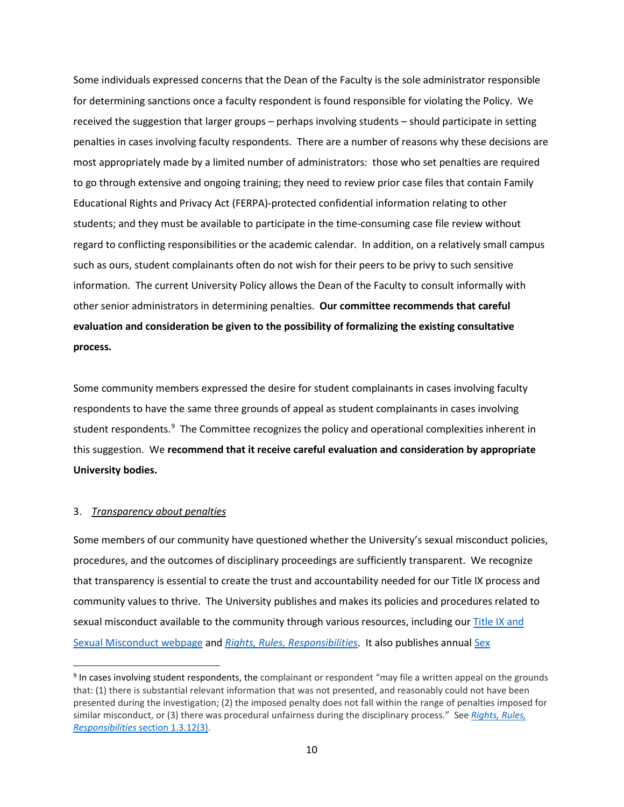Some individuals expressed concerns that the Dean of the Faculty is the sole administrator responsible for determining sanctions once a faculty respondent is found responsible for violating the Policy. We received the suggestion that larger groups – perhaps involving students – should participate in setting penalties in cases involving faculty respondents. There are a number of reasons why these decisions are most appropriately made by a limited number of administrators: those who set penalties are required to go through extensive and ongoing training; they need to review prior case files that contain Family Educational Rights and Privacy Act (FERPA)-protected confidential information relating to other students; and they must be available to participate in the time-consuming case file review without regard to conflicting responsibilities or the academic calendar. In addition, on a relatively small campus such as ours, student complainants often do not wish for their peers to be privy to such sensitive information. The current University Policy allows the Dean of the Faculty to consult informally with other senior administrators in determining penalties. **Our committee recommends that careful evaluation and consideration be given to the possibility of formalizing the existing consultative process.**

Some community members expressed the desire for student complainants in cases involving faculty respondents to have the same three grounds of appeal as student complainants in cases involving student respondents.<sup>[9](#page-11-0)</sup> The Committee recognizes the policy and operational complexities inherent in this suggestion. We **recommend that it receive careful evaluation and consideration by appropriate University bodies.**

## 3. *Transparency about penalties*

Some members of our community have questioned whether the University's sexual misconduct policies, procedures, and the outcomes of disciplinary proceedings are sufficiently transparent. We recognize that transparency is essential to create the trust and accountability needed for our Title IX process and community values to thrive. The University publishes and makes its policies and procedures related to sexual misconduct available to the community through various resources, including our Title IX and [Sexual Misconduct webpage](https://sexualmisconduct.princeton.edu/) and *Rights, Rules, [Responsibilities](http://www.princeton.edu/pub/rrr/)*. It also publishes annua[l Sex](https://sexualmisconduct.princeton.edu/reports/discipline2017) 

<span id="page-11-0"></span><sup>&</sup>lt;sup>9</sup> In cases involving student respondents, the complainant or respondent "may file a written appeal on the grounds that: (1) there is substantial relevant information that was not presented, and reasonably could not have been presented during the investigation; (2) the imposed penalty does not fall within the range of penalties imposed for similar misconduct, or (3) there was procedural unfairness during the disciplinary process." See *[Rights, Rules,](http://www.princeton.edu/pub/rrr/part1/index.xml#comp1313)  Responsibilities* [section 1.3.12\(3\).](http://www.princeton.edu/pub/rrr/part1/index.xml#comp1313)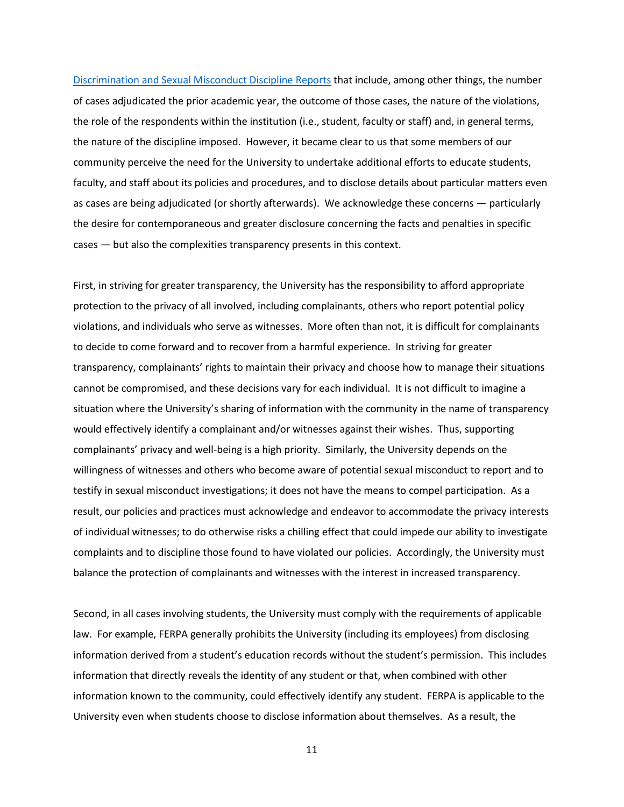[Discrimination and Sexual Misconduct Discipline Reports](https://sexualmisconduct.princeton.edu/reports/discipline2017) that include, among other things, the number of cases adjudicated the prior academic year, the outcome of those cases, the nature of the violations, the role of the respondents within the institution (i.e., student, faculty or staff) and, in general terms, the nature of the discipline imposed. However, it became clear to us that some members of our community perceive the need for the University to undertake additional efforts to educate students, faculty, and staff about its policies and procedures, and to disclose details about particular matters even as cases are being adjudicated (or shortly afterwards). We acknowledge these concerns — particularly the desire for contemporaneous and greater disclosure concerning the facts and penalties in specific cases — but also the complexities transparency presents in this context.

First, in striving for greater transparency, the University has the responsibility to afford appropriate protection to the privacy of all involved, including complainants, others who report potential policy violations, and individuals who serve as witnesses. More often than not, it is difficult for complainants to decide to come forward and to recover from a harmful experience. In striving for greater transparency, complainants' rights to maintain their privacy and choose how to manage their situations cannot be compromised, and these decisions vary for each individual. It is not difficult to imagine a situation where the University's sharing of information with the community in the name of transparency would effectively identify a complainant and/or witnesses against their wishes. Thus, supporting complainants' privacy and well-being is a high priority. Similarly, the University depends on the willingness of witnesses and others who become aware of potential sexual misconduct to report and to testify in sexual misconduct investigations; it does not have the means to compel participation. As a result, our policies and practices must acknowledge and endeavor to accommodate the privacy interests of individual witnesses; to do otherwise risks a chilling effect that could impede our ability to investigate complaints and to discipline those found to have violated our policies. Accordingly, the University must balance the protection of complainants and witnesses with the interest in increased transparency.

Second, in all cases involving students, the University must comply with the requirements of applicable law. For example, FERPA generally prohibits the University (including its employees) from disclosing information derived from a student's education records without the student's permission. This includes information that directly reveals the identity of any student or that, when combined with other information known to the community, could effectively identify any student. FERPA is applicable to the University even when students choose to disclose information about themselves. As a result, the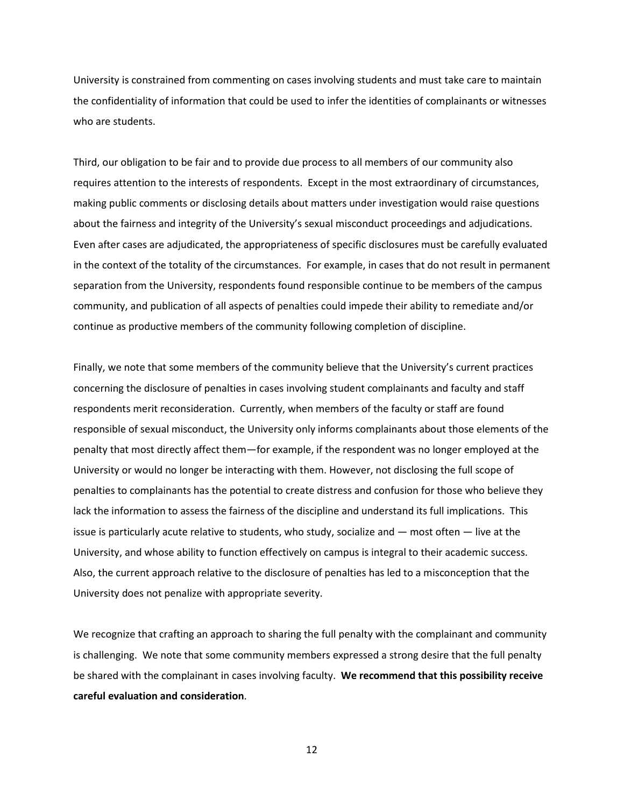University is constrained from commenting on cases involving students and must take care to maintain the confidentiality of information that could be used to infer the identities of complainants or witnesses who are students.

Third, our obligation to be fair and to provide due process to all members of our community also requires attention to the interests of respondents. Except in the most extraordinary of circumstances, making public comments or disclosing details about matters under investigation would raise questions about the fairness and integrity of the University's sexual misconduct proceedings and adjudications. Even after cases are adjudicated, the appropriateness of specific disclosures must be carefully evaluated in the context of the totality of the circumstances. For example, in cases that do not result in permanent separation from the University, respondents found responsible continue to be members of the campus community, and publication of all aspects of penalties could impede their ability to remediate and/or continue as productive members of the community following completion of discipline.

Finally, we note that some members of the community believe that the University's current practices concerning the disclosure of penalties in cases involving student complainants and faculty and staff respondents merit reconsideration. Currently, when members of the faculty or staff are found responsible of sexual misconduct, the University only informs complainants about those elements of the penalty that most directly affect them—for example, if the respondent was no longer employed at the University or would no longer be interacting with them. However, not disclosing the full scope of penalties to complainants has the potential to create distress and confusion for those who believe they lack the information to assess the fairness of the discipline and understand its full implications. This issue is particularly acute relative to students, who study, socialize and — most often — live at the University, and whose ability to function effectively on campus is integral to their academic success. Also, the current approach relative to the disclosure of penalties has led to a misconception that the University does not penalize with appropriate severity.

We recognize that crafting an approach to sharing the full penalty with the complainant and community is challenging. We note that some community members expressed a strong desire that the full penalty be shared with the complainant in cases involving faculty. **We recommend that this possibility receive careful evaluation and consideration**.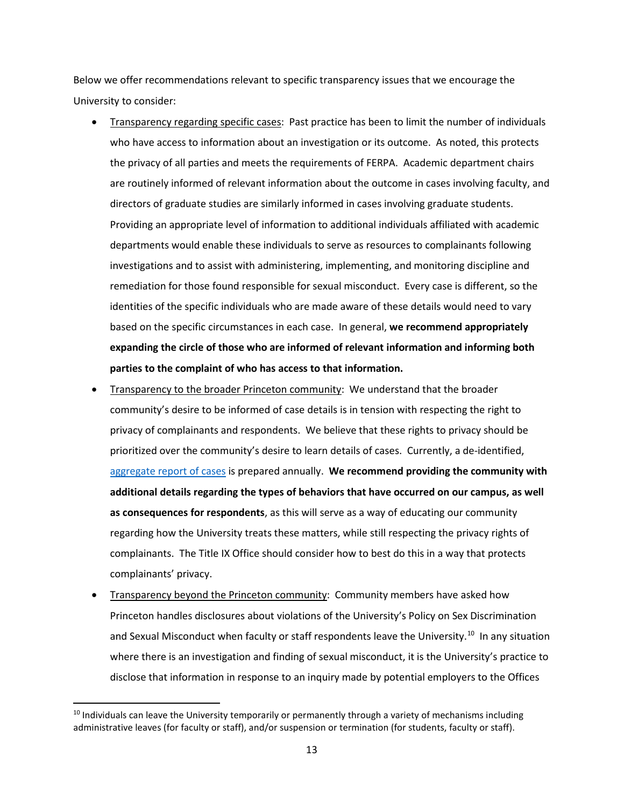Below we offer recommendations relevant to specific transparency issues that we encourage the University to consider:

- Transparency regarding specific cases: Past practice has been to limit the number of individuals who have access to information about an investigation or its outcome. As noted, this protects the privacy of all parties and meets the requirements of FERPA. Academic department chairs are routinely informed of relevant information about the outcome in cases involving faculty, and directors of graduate studies are similarly informed in cases involving graduate students. Providing an appropriate level of information to additional individuals affiliated with academic departments would enable these individuals to serve as resources to complainants following investigations and to assist with administering, implementing, and monitoring discipline and remediation for those found responsible for sexual misconduct. Every case is different, so the identities of the specific individuals who are made aware of these details would need to vary based on the specific circumstances in each case. In general, **we recommend appropriately expanding the circle of those who are informed of relevant information and informing both parties to the complaint of who has access to that information.**
- Transparency to the broader Princeton community: We understand that the broader community's desire to be informed of case details is in tension with respecting the right to privacy of complainants and respondents. We believe that these rights to privacy should be prioritized over the community's desire to learn details of cases. Currently, a de-identified, [aggregate report of cases](https://sexualmisconduct.princeton.edu/reports) is prepared annually. **We recommend providing the community with additional details regarding the types of behaviors that have occurred on our campus, as well as consequences for respondents**, as this will serve as a way of educating our community regarding how the University treats these matters, while still respecting the privacy rights of complainants. The Title IX Office should consider how to best do this in a way that protects complainants' privacy.
- Transparency beyond the Princeton community: Community members have asked how Princeton handles disclosures about violations of the University's Policy on Sex Discrimination and Sexual Misconduct when faculty or staff respondents leave the University.<sup>[10](#page-14-0)</sup> In any situation where there is an investigation and finding of sexual misconduct, it is the University's practice to disclose that information in response to an inquiry made by potential employers to the Offices

<span id="page-14-0"></span><sup>&</sup>lt;sup>10</sup> Individuals can leave the University temporarily or permanently through a variety of mechanisms including administrative leaves (for faculty or staff), and/or suspension or termination (for students, faculty or staff).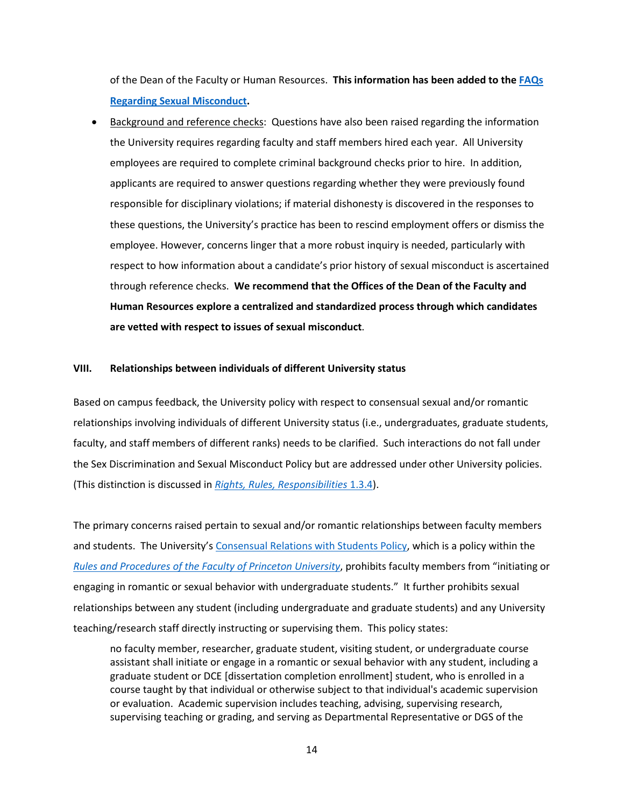of the Dean of the Faculty or Human Resources. **This information has been added to th[e FAQs](https://sexualmisconduct.princeton.edu/faqs-students)  [Regarding Sexual Misconduct.](https://sexualmisconduct.princeton.edu/faqs-students)**

• Background and reference checks: Questions have also been raised regarding the information the University requires regarding faculty and staff members hired each year. All University employees are required to complete criminal background checks prior to hire. In addition, applicants are required to answer questions regarding whether they were previously found responsible for disciplinary violations; if material dishonesty is discovered in the responses to these questions, the University's practice has been to rescind employment offers or dismiss the employee. However, concerns linger that a more robust inquiry is needed, particularly with respect to how information about a candidate's prior history of sexual misconduct is ascertained through reference checks. **We recommend that the Offices of the Dean of the Faculty and Human Resources explore a centralized and standardized process through which candidates are vetted with respect to issues of sexual misconduct**.

### **VIII. Relationships between individuals of different University status**

Based on campus feedback, the University policy with respect to consensual sexual and/or romantic relationships involving individuals of different University status (i.e., undergraduates, graduate students, faculty, and staff members of different ranks) needs to be clarified. Such interactions do not fall under the Sex Discrimination and Sexual Misconduct Policy but are addressed under other University policies. (This distinction is discussed in *[Rights, Rules, Responsibilities](http://www.princeton.edu/pub/rrr/part1/index.xml#comp134)* 1.3.4).

The primary concerns raised pertain to sexual and/or romantic relationships between faculty members and students. The University'[s Consensual Relations with Students Policy,](https://dof.princeton.edu/rules-and-procedures-faculty-princeton-university-and-other-provisions-concern-faculty/chapter-v-2) which is a policy within the *[Rules and Procedures of the Faculty of Princeton University](https://dof.princeton.edu/rp_faculty)*, prohibits faculty members from "initiating or engaging in romantic or sexual behavior with undergraduate students." It further prohibits sexual relationships between any student (including undergraduate and graduate students) and any University teaching/research staff directly instructing or supervising them. This policy states:

no faculty member, researcher, graduate student, visiting student, or undergraduate course assistant shall initiate or engage in a romantic or sexual behavior with any student, including a graduate student or DCE [dissertation completion enrollment] student, who is enrolled in a course taught by that individual or otherwise subject to that individual's academic supervision or evaluation. Academic supervision includes teaching, advising, supervising research, supervising teaching or grading, and serving as Departmental Representative or DGS of the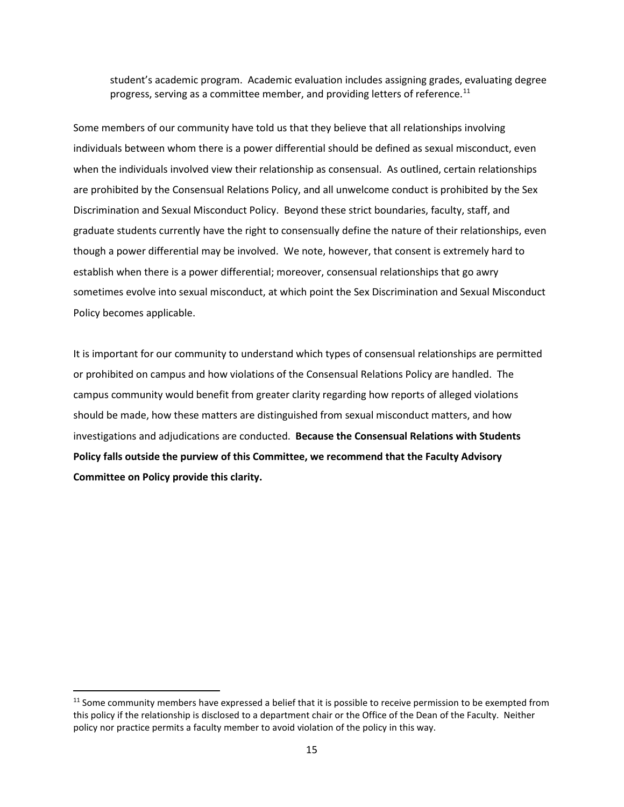student's academic program. Academic evaluation includes assigning grades, evaluating degree progress, serving as a committee member, and providing letters of reference.<sup>[11](#page-16-0)</sup>

Some members of our community have told us that they believe that all relationships involving individuals between whom there is a power differential should be defined as sexual misconduct, even when the individuals involved view their relationship as consensual. As outlined, certain relationships are prohibited by the Consensual Relations Policy, and all unwelcome conduct is prohibited by the Sex Discrimination and Sexual Misconduct Policy. Beyond these strict boundaries, faculty, staff, and graduate students currently have the right to consensually define the nature of their relationships, even though a power differential may be involved. We note, however, that consent is extremely hard to establish when there is a power differential; moreover, consensual relationships that go awry sometimes evolve into sexual misconduct, at which point the Sex Discrimination and Sexual Misconduct Policy becomes applicable.

It is important for our community to understand which types of consensual relationships are permitted or prohibited on campus and how violations of the Consensual Relations Policy are handled. The campus community would benefit from greater clarity regarding how reports of alleged violations should be made, how these matters are distinguished from sexual misconduct matters, and how investigations and adjudications are conducted. **Because the Consensual Relations with Students Policy falls outside the purview of this Committee, we recommend that the Faculty Advisory Committee on Policy provide this clarity.**

<span id="page-16-0"></span> $11$  Some community members have expressed a belief that it is possible to receive permission to be exempted from this policy if the relationship is disclosed to a department chair or the Office of the Dean of the Faculty. Neither policy nor practice permits a faculty member to avoid violation of the policy in this way.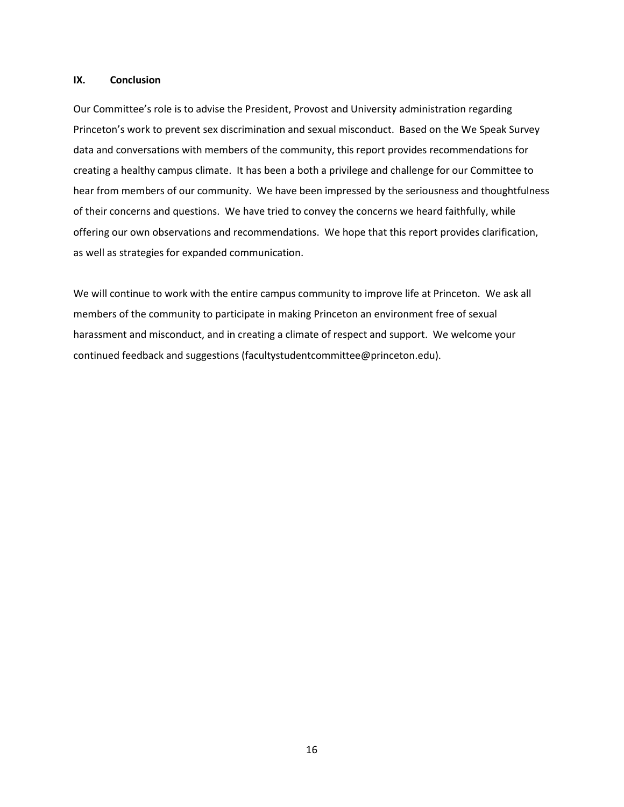### **IX. Conclusion**

Our Committee's role is to advise the President, Provost and University administration regarding Princeton's work to prevent sex discrimination and sexual misconduct. Based on the We Speak Survey data and conversations with members of the community, this report provides recommendations for creating a healthy campus climate. It has been a both a privilege and challenge for our Committee to hear from members of our community. We have been impressed by the seriousness and thoughtfulness of their concerns and questions. We have tried to convey the concerns we heard faithfully, while offering our own observations and recommendations. We hope that this report provides clarification, as well as strategies for expanded communication.

We will continue to work with the entire campus community to improve life at Princeton. We ask all members of the community to participate in making Princeton an environment free of sexual harassment and misconduct, and in creating a climate of respect and support. We welcome your continued feedback and suggestions (facultystudentcommittee@princeton.edu).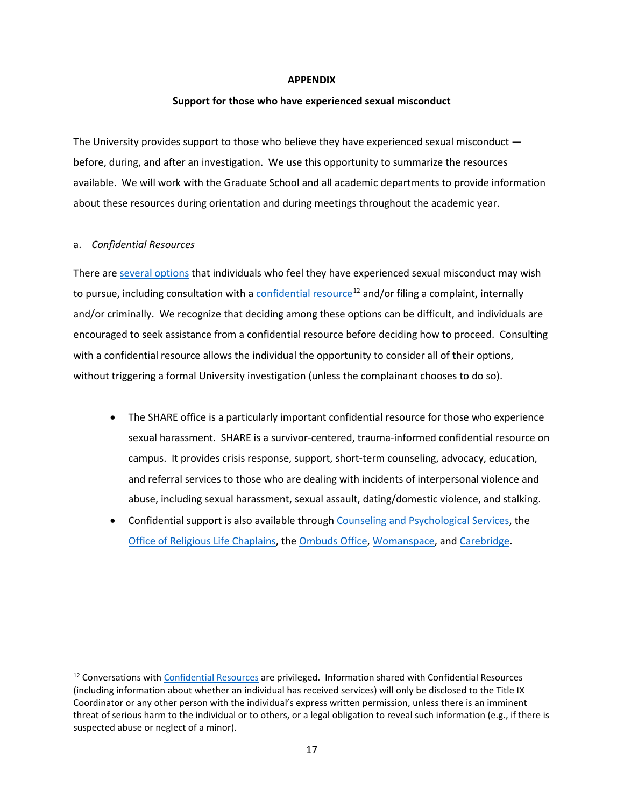### **APPENDIX**

### **Support for those who have experienced sexual misconduct**

The University provides support to those who believe they have experienced sexual misconduct before, during, and after an investigation. We use this opportunity to summarize the resources available. We will work with the Graduate School and all academic departments to provide information about these resources during orientation and during meetings throughout the academic year.

### a. *Confidential Resources*

There ar[e several options](https://sexualmisconduct.princeton.edu/sites/sexualmisconduct/files/media/pumisconductrefcard.pdf) that individuals who feel they have experienced sexual misconduct may wish to pursue, including consultation with a [confidential resource](https://sexualmisconduct.princeton.edu/resources-reporting/resources)<sup>[12](#page-18-0)</sup> and/or filing a complaint, internally and/or criminally. We recognize that deciding among these options can be difficult, and individuals are encouraged to seek assistance from a confidential resource before deciding how to proceed. Consulting with a confidential resource allows the individual the opportunity to consider all of their options, without triggering a formal University investigation (unless the complainant chooses to do so).

- The SHARE office is a particularly important confidential resource for those who experience sexual harassment. SHARE is a survivor-centered, trauma-informed confidential resource on campus. It provides crisis response, support, short-term counseling, advocacy, education, and referral services to those who are dealing with incidents of interpersonal violence and abuse, including sexual harassment, sexual assault, dating/domestic violence, and stalking.
- Confidential support is also available throug[h Counseling and Psychological Services,](https://uhs.princeton.edu/counseling-psychological-services) the [Office of Religious Life Chaplains,](http://religiouslife.princeton.edu/) th[e Ombuds Office,](http://www.princeton.edu/ombuds/) [Womanspace,](https://womanspace.org/) and [Carebridge.](https://www.princeton.edu/hr/benefits/worklife/carebridge/)

<span id="page-18-0"></span><sup>&</sup>lt;sup>12</sup> Conversations with [Confidential Resources](http://www.princeton.edu/pub/rrr/part1/index.xml#comp135) are privileged. Information shared with Confidential Resources (including information about whether an individual has received services) will only be disclosed to the Title IX Coordinator or any other person with the individual's express written permission, unless there is an imminent threat of serious harm to the individual or to others, or a legal obligation to reveal such information (e.g., if there is suspected abuse or neglect of a minor).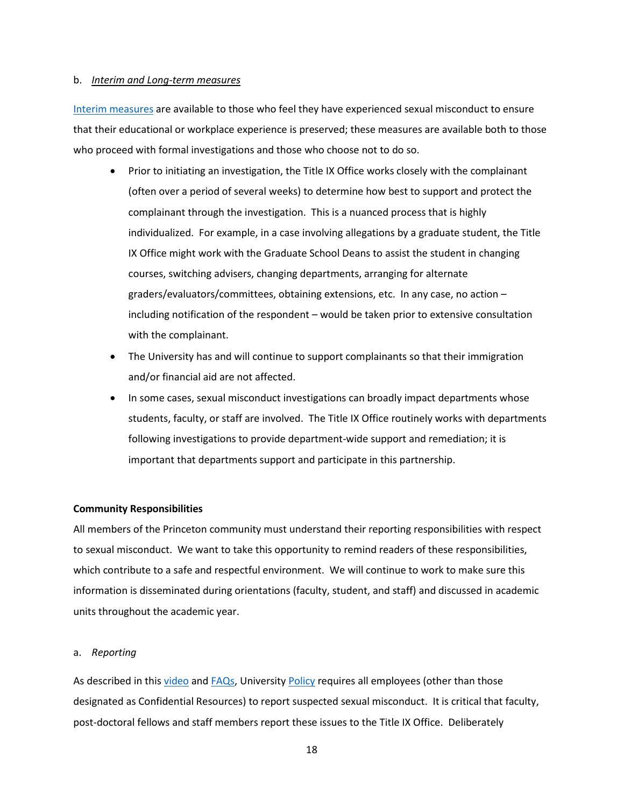### b. *Interim and Long-term measures*

[Interim measures](http://www.princeton.edu/pub/rrr/part1/index.xml#comp139) are available to those who feel they have experienced sexual misconduct to ensure that their educational or workplace experience is preserved; these measures are available both to those who proceed with formal investigations and those who choose not to do so.

- Prior to initiating an investigation, the Title IX Office works closely with the complainant (often over a period of several weeks) to determine how best to support and protect the complainant through the investigation. This is a nuanced process that is highly individualized. For example, in a case involving allegations by a graduate student, the Title IX Office might work with the Graduate School Deans to assist the student in changing courses, switching advisers, changing departments, arranging for alternate graders/evaluators/committees, obtaining extensions, etc. In any case, no action – including notification of the respondent – would be taken prior to extensive consultation with the complainant.
- The University has and will continue to support complainants so that their immigration and/or financial aid are not affected.
- In some cases, sexual misconduct investigations can broadly impact departments whose students, faculty, or staff are involved. The Title IX Office routinely works with departments following investigations to provide department-wide support and remediation; it is important that departments support and participate in this partnership.

## **Community Responsibilities**

All members of the Princeton community must understand their reporting responsibilities with respect to sexual misconduct. We want to take this opportunity to remind readers of these responsibilities, which contribute to a safe and respectful environment. We will continue to work to make sure this information is disseminated during orientations (faculty, student, and staff) and discussed in academic units throughout the academic year.

#### a. *Reporting*

As described in this [video](https://www.kaltura.com/index.php/extwidget/preview/partner_id/1449362/uiconf_id/14950411/entry_id/1_rmb27djv/embed/auto?&flashvars%5bstreamerType%5d=auto) and [FAQs,](https://sexualmisconduct.princeton.edu/sites/sexualmisconduct/files/illegalactivityfaqs.pdf) [University Policy](http://www.princeton.edu/pub/rrr/part1/index.xml#comp135) requires all employees (other than those designated as Confidential Resources) to report suspected sexual misconduct. It is critical that faculty, post-doctoral fellows and staff members report these issues to the Title IX Office. Deliberately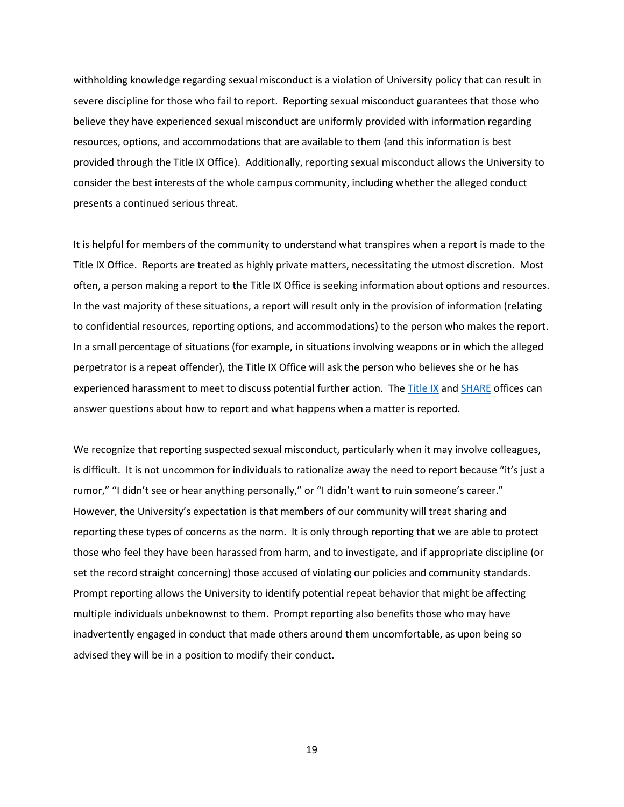withholding knowledge regarding sexual misconduct is a violation of University policy that can result in severe discipline for those who fail to report. Reporting sexual misconduct guarantees that those who believe they have experienced sexual misconduct are uniformly provided with information regarding resources, options, and accommodations that are available to them (and this information is best provided through the Title IX Office). Additionally, reporting sexual misconduct allows the University to consider the best interests of the whole campus community, including whether the alleged conduct presents a continued serious threat.

It is helpful for members of the community to understand what transpires when a report is made to the Title IX Office. Reports are treated as highly private matters, necessitating the utmost discretion. Most often, a person making a report to the Title IX Office is seeking information about options and resources. In the vast majority of these situations, a report will result only in the provision of information (relating to confidential resources, reporting options, and accommodations) to the person who makes the report. In a small percentage of situations (for example, in situations involving weapons or in which the alleged perpetrator is a repeat offender), the Title IX Office will ask the person who believes she or he has experienced harassment to meet to discuss potential further action. The [Title IX](https://sexualmisconduct.princeton.edu/coordinator) an[d SHARE](https://share.princeton.edu/) offices can answer questions about how to report and what happens when a matter is reported.

We recognize that reporting suspected sexual misconduct, particularly when it may involve colleagues, is difficult. It is not uncommon for individuals to rationalize away the need to report because "it's just a rumor," "I didn't see or hear anything personally," or "I didn't want to ruin someone's career." However, the University's expectation is that members of our community will treat sharing and reporting these types of concerns as the norm. It is only through reporting that we are able to protect those who feel they have been harassed from harm, and to investigate, and if appropriate discipline (or set the record straight concerning) those accused of violating our policies and community standards. Prompt reporting allows the University to identify potential repeat behavior that might be affecting multiple individuals unbeknownst to them. Prompt reporting also benefits those who may have inadvertently engaged in conduct that made others around them uncomfortable, as upon being so advised they will be in a position to modify their conduct.